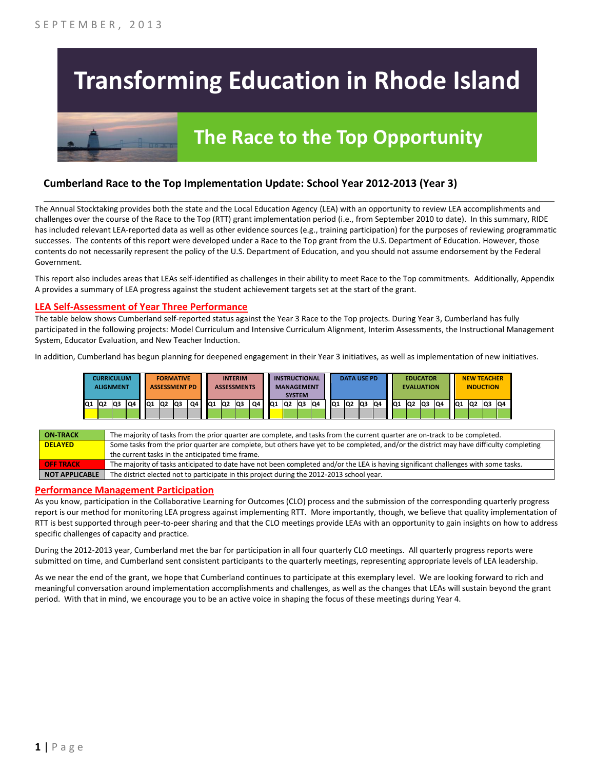# **Transforming Education in Rhode Island**



# **The Race to the Top Opportunity**

### **Cumberland Race to the Top Implementation Update: School Year 2012-2013 (Year 3)**

The Annual Stocktaking provides both the state and the Local Education Agency (LEA) with an opportunity to review LEA accomplishments and challenges over the course of the Race to the Top (RTT) grant implementation period (i.e., from September 2010 to date). In this summary, RIDE has included relevant LEA-reported data as well as other evidence sources (e.g., training participation) for the purposes of reviewing programmatic successes. The contents of this report were developed under a Race to the Top grant from the U.S. Department of Education. However, those contents do not necessarily represent the policy of the U.S. Department of Education, and you should not assume endorsement by the Federal Government.

\_\_\_\_\_\_\_\_\_\_\_\_\_\_\_\_\_\_\_\_\_\_\_\_\_\_\_\_\_\_\_\_\_\_\_\_\_\_\_\_\_\_\_\_\_\_\_\_\_\_\_\_\_\_\_\_\_\_\_\_\_\_\_\_\_\_\_\_\_\_\_\_\_\_\_\_\_\_\_\_\_\_\_\_\_\_\_\_\_\_\_\_\_\_\_\_

This report also includes areas that LEAs self-identified as challenges in their ability to meet Race to the Top commitments. Additionally, Appendix A provides a summary of LEA progress against the student achievement targets set at the start of the grant.

#### **LEA Self-Assessment of Year Three Performance**

The table below shows Cumberland self-reported status against the Year 3 Race to the Top projects. During Year 3, Cumberland has fully participated in the following projects: Model Curriculum and Intensive Curriculum Alignment, Interim Assessments, the Instructional Management System, Educator Evaluation, and New Teacher Induction.

In addition, Cumberland has begun planning for deepened engagement in their Year 3 initiatives, as well as implementation of new initiatives.

|     |    | CURRICULUM<br><b>ALIGNMENT</b> |    |    | <b>FORMATIVE</b><br><b>ASSESSMENT PD</b> |                |    |     |                | <b>INTERIM</b><br><b>ASSESSMENTS</b> |    |     | <b>INSTRUCTIONAL</b><br><b>MANAGEMENT</b> | <b>SYSTEM</b> |    |                 |                | <b>DATA USE PD</b> |    |                 | <b>EDUCATOR</b><br><b>EVALUATION</b> |    |    |                 | <b>NEW TEACHER</b><br><b>INDUCTION</b> |    |     |
|-----|----|--------------------------------|----|----|------------------------------------------|----------------|----|-----|----------------|--------------------------------------|----|-----|-------------------------------------------|---------------|----|-----------------|----------------|--------------------|----|-----------------|--------------------------------------|----|----|-----------------|----------------------------------------|----|-----|
| IQ1 | Q2 | IQ3                            | Q4 | Q1 | Q2                                       | Q <sub>3</sub> | Q4 | IQ1 | Q <sub>2</sub> | Q3                                   | Q4 | lQ1 | Q2                                        | lQ3           | Q4 | lQ <sub>1</sub> | Q <sub>2</sub> | lQ3                | Q4 | IQ <sub>1</sub> | Q <sub>2</sub>                       | Q3 | Q4 | IQ <sub>1</sub> | Q2                                     | Q3 | IQ4 |
|     |    |                                |    |    |                                          |                |    |     |                |                                      |    |     |                                           |               |    |                 |                |                    |    |                 |                                      |    |    |                 |                                        |    |     |

| <b>ON TRACK</b>       | The majority of tasks from the prior quarter are complete, and tasks from the current quarter are on-track to be completed.             |
|-----------------------|-----------------------------------------------------------------------------------------------------------------------------------------|
| <b>DELAYED</b>        | Some tasks from the prior quarter are complete, but others have yet to be completed, and/or the district may have difficulty completing |
|                       | the current tasks in the anticipated time frame.                                                                                        |
| <b>OFF TRACK</b>      | The majority of tasks anticipated to date have not been completed and/or the LEA is having significant challenges with some tasks.      |
| <b>NOT APPLICABLE</b> | The district elected not to participate in this project during the 2012-2013 school year.                                               |

#### **Performance Management Participation**

As you know, participation in the Collaborative Learning for Outcomes (CLO) process and the submission of the corresponding quarterly progress report is our method for monitoring LEA progress against implementing RTT. More importantly, though, we believe that quality implementation of RTT is best supported through peer-to-peer sharing and that the CLO meetings provide LEAs with an opportunity to gain insights on how to address specific challenges of capacity and practice.

During the 2012-2013 year, Cumberland met the bar for participation in all four quarterly CLO meetings. All quarterly progress reports were submitted on time, and Cumberland sent consistent participants to the quarterly meetings, representing appropriate levels of LEA leadership.

As we near the end of the grant, we hope that Cumberland continues to participate at this exemplary level. We are looking forward to rich and meaningful conversation around implementation accomplishments and challenges, as well as the changes that LEAs will sustain beyond the grant period. With that in mind, we encourage you to be an active voice in shaping the focus of these meetings during Year 4.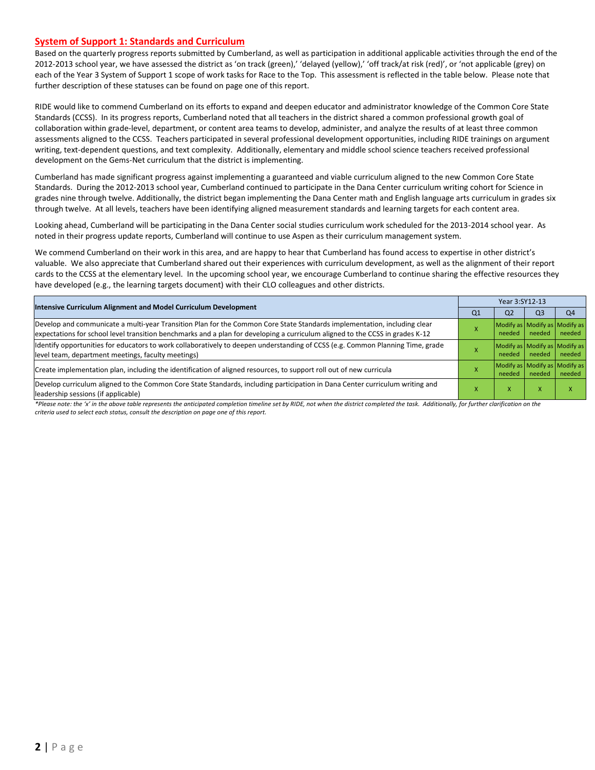#### **System of Support 1: Standards and Curriculum**

Based on the quarterly progress reports submitted by Cumberland, as well as participation in additional applicable activities through the end of the 2012-2013 school year, we have assessed the district as 'on track (green),' 'delayed (yellow),' 'off track/at risk (red)', or 'not applicable (grey) on each of the Year 3 System of Support 1 scope of work tasks for Race to the Top. This assessment is reflected in the table below. Please note that further description of these statuses can be found on page one of this report.

RIDE would like to commend Cumberland on its efforts to expand and deepen educator and administrator knowledge of the Common Core State Standards (CCSS). In its progress reports, Cumberland noted that all teachers in the district shared a common professional growth goal of collaboration within grade-level, department, or content area teams to develop, administer, and analyze the results of at least three common assessments aligned to the CCSS. Teachers participated in several professional development opportunities, including RIDE trainings on argument writing, text-dependent questions, and text complexity. Additionally, elementary and middle school science teachers received professional development on the Gems-Net curriculum that the district is implementing.

Cumberland has made significant progress against implementing a guaranteed and viable curriculum aligned to the new Common Core State Standards. During the 2012-2013 school year, Cumberland continued to participate in the Dana Center curriculum writing cohort for Science in grades nine through twelve. Additionally, the district began implementing the Dana Center math and English language arts curriculum in grades six through twelve. At all levels, teachers have been identifying aligned measurement standards and learning targets for each content area.

Looking ahead, Cumberland will be participating in the Dana Center social studies curriculum work scheduled for the 2013-2014 school year. As noted in their progress update reports, Cumberland will continue to use Aspen as their curriculum management system.

We commend Cumberland on their work in this area, and are happy to hear that Cumberland has found access to expertise in other district's valuable. We also appreciate that Cumberland shared out their experiences with curriculum development, as well as the alignment of their report cards to the CCSS at the elementary level. In the upcoming school year, we encourage Cumberland to continue sharing the effective resources they have developed (e.g., the learning targets document) with their CLO colleagues and other districts.

| Intensive Curriculum Alignment and Model Curriculum Development                                                                                                                                                                                           |                | Year 3:SY12-13 |                |                                         |  |  |  |
|-----------------------------------------------------------------------------------------------------------------------------------------------------------------------------------------------------------------------------------------------------------|----------------|----------------|----------------|-----------------------------------------|--|--|--|
|                                                                                                                                                                                                                                                           | Q <sub>1</sub> | Q <sub>2</sub> | Q <sub>3</sub> | Q4                                      |  |  |  |
| Develop and communicate a multi-year Transition Plan for the Common Core State Standards implementation, including clear<br>expectations for school level transition benchmarks and a plan for developing a curriculum aligned to the CCSS in grades K-12 |                | needed         | needed         | Modify as Modify as Modify as<br>needed |  |  |  |
| Identify opportunities for educators to work collaboratively to deepen understanding of CCSS (e.g. Common Planning Time, grade<br>level team, department meetings, faculty meetings)                                                                      |                | needed         | needed         | Modify as Modify as Modify as<br>needed |  |  |  |
| Create implementation plan, including the identification of aligned resources, to support roll out of new curricula                                                                                                                                       |                | needed         | needed         | Modify as Modify as Modify as<br>needed |  |  |  |
| Develop curriculum aligned to the Common Core State Standards, including participation in Dana Center curriculum writing and<br>leadership sessions (if applicable)                                                                                       |                | л              | X              |                                         |  |  |  |

*\*Please note: the 'x' in the above table represents the anticipated completion timeline set by RIDE, not when the district completed the task. Additionally, for further clarification on the criteria used to select each status, consult the description on page one of this report.*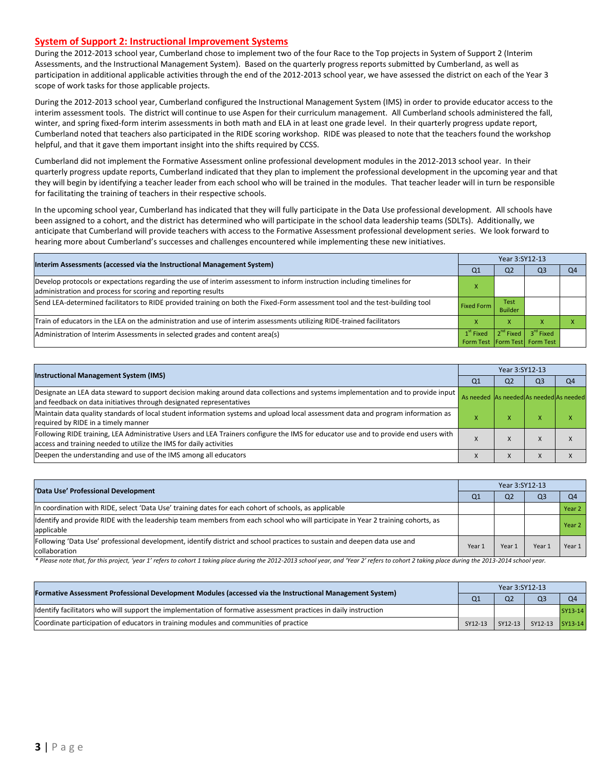#### **System of Support 2: Instructional Improvement Systems**

During the 2012-2013 school year, Cumberland chose to implement two of the four Race to the Top projects in System of Support 2 (Interim Assessments, and the Instructional Management System). Based on the quarterly progress reports submitted by Cumberland, as well as participation in additional applicable activities through the end of the 2012-2013 school year, we have assessed the district on each of the Year 3 scope of work tasks for those applicable projects.

During the 2012-2013 school year, Cumberland configured the Instructional Management System (IMS) in order to provide educator access to the interim assessment tools. The district will continue to use Aspen for their curriculum management. All Cumberland schools administered the fall, winter, and spring fixed-form interim assessments in both math and ELA in at least one grade level. In their quarterly progress update report, Cumberland noted that teachers also participated in the RIDE scoring workshop. RIDE was pleased to note that the teachers found the workshop helpful, and that it gave them important insight into the shifts required by CCSS.

Cumberland did not implement the Formative Assessment online professional development modules in the 2012-2013 school year. In their quarterly progress update reports, Cumberland indicated that they plan to implement the professional development in the upcoming year and that they will begin by identifying a teacher leader from each school who will be trained in the modules. That teacher leader will in turn be responsible for facilitating the training of teachers in their respective schools.

In the upcoming school year, Cumberland has indicated that they will fully participate in the Data Use professional development. All schools have been assigned to a cohort, and the district has determined who will participate in the school data leadership teams (SDLTs). Additionally, we anticipate that Cumberland will provide teachers with access to the Formative Assessment professional development series. We look forward to hearing more about Cumberland's successes and challenges encountered while implementing these new initiatives.

| Interim Assessments (accessed via the Instructional Management System)                                                                                                                  | Year 3:SY12-13                                   |                               |                                                        |    |  |  |
|-----------------------------------------------------------------------------------------------------------------------------------------------------------------------------------------|--------------------------------------------------|-------------------------------|--------------------------------------------------------|----|--|--|
|                                                                                                                                                                                         | Q1                                               | Q <sub>2</sub>                | Q3                                                     | O4 |  |  |
| Develop protocols or expectations regarding the use of interim assessment to inform instruction including timelines for<br>administration and process for scoring and reporting results |                                                  |                               |                                                        |    |  |  |
| Send LEA-determined facilitators to RIDE provided training on both the Fixed-Form assessment tool and the test-building tool                                                            | <b>Fixed Form</b>                                | <b>Test</b><br><b>Builder</b> |                                                        |    |  |  |
| Train of educators in the LEA on the administration and use of interim assessments utilizing RIDE-trained facilitators                                                                  |                                                  | v                             |                                                        |    |  |  |
| Administration of Interim Assessments in selected grades and content area(s)                                                                                                            | $1st$ Fixed<br>Form Test   Form Test   Form Test |                               | $\left\ 2^{nd}$ Fixed $\right\ $ 3 <sup>rd</sup> Fixed |    |  |  |

|                                                                                                                                                                                                           | Year 3:SY12-13                          |                |                |                |  |  |
|-----------------------------------------------------------------------------------------------------------------------------------------------------------------------------------------------------------|-----------------------------------------|----------------|----------------|----------------|--|--|
| <b>Instructional Management System (IMS)</b>                                                                                                                                                              | Q <sub>1</sub>                          | Q <sub>2</sub> | Q <sub>3</sub> | Q <sub>4</sub> |  |  |
| Designate an LEA data steward to support decision making around data collections and systems implementation and to provide input<br>and feedback on data initiatives through designated representatives   | As needed As needed As needed As needed |                |                |                |  |  |
| Maintain data quality standards of local student information systems and upload local assessment data and program information as<br>required by RIDE in a timely manner                                   |                                         | ⋏              | ж              | ж              |  |  |
| Following RIDE training, LEA Administrative Users and LEA Trainers configure the IMS for educator use and to provide end users with<br>access and training needed to utilize the IMS for daily activities |                                         | $\lambda$      | $\lambda$      |                |  |  |
| Deepen the understanding and use of the IMS among all educators                                                                                                                                           |                                         |                |                |                |  |  |

| 'Data Use' Professional Development                                                                                                           | Year 3:SY12-13 |                |                |                   |  |  |
|-----------------------------------------------------------------------------------------------------------------------------------------------|----------------|----------------|----------------|-------------------|--|--|
|                                                                                                                                               | Q <sub>1</sub> | Q <sub>2</sub> | Q <sub>3</sub> | Q <sub>4</sub>    |  |  |
| In coordination with RIDE, select 'Data Use' training dates for each cohort of schools, as applicable                                         |                |                |                | Year <sub>2</sub> |  |  |
| Identify and provide RIDE with the leadership team members from each school who will participate in Year 2 training cohorts, as<br>applicable |                |                |                | Year <sub>2</sub> |  |  |
| Following 'Data Use' professional development, identify district and school practices to sustain and deepen data use and<br>collaboration     | Year 1         | Year 1         | Year:          | Year 1            |  |  |

\* Please note that, for this project, 'year 1' refers to cohort 1 taking place during the 2012-2013 school year, and 'Year 2' refers to cohort 2 taking place during the 2013-2014 school year.

| [Formative Assessment Professional Development Modules (accessed via the Instructional Management System)        |                | Year 3:SY12-13 |                         |                |  |  |  |
|------------------------------------------------------------------------------------------------------------------|----------------|----------------|-------------------------|----------------|--|--|--|
|                                                                                                                  | Q <sub>1</sub> | Q <sub>2</sub> | Q <sub>3</sub>          | O <sub>4</sub> |  |  |  |
| Identify facilitators who will support the implementation of formative assessment practices in daily instruction |                |                |                         | SY13-14        |  |  |  |
| Coordinate participation of educators in training modules and communities of practice                            | SY12-13        |                | SY12-13 SY12-13 SY13-14 |                |  |  |  |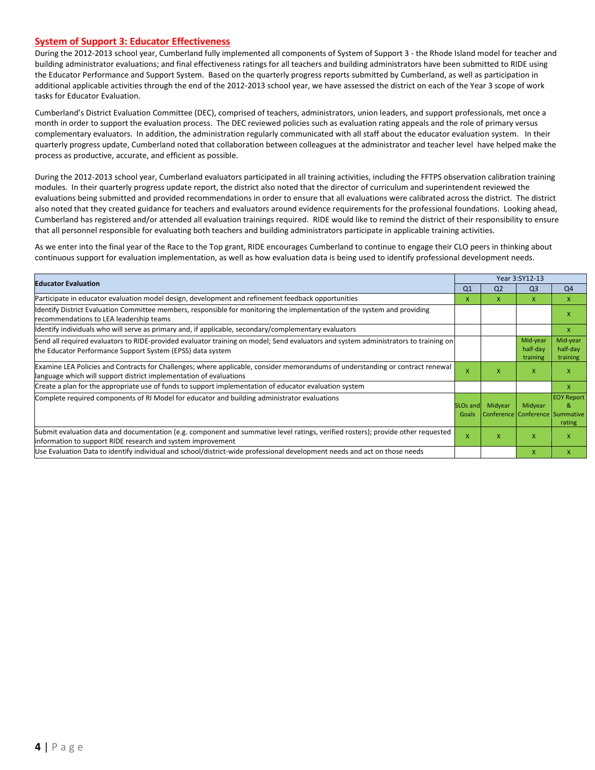#### **System of Support 3: Educator Effectiveness**

During the 2012-2013 school year, Cumberland fully implemented all components of System of Support 3 - the Rhode Island model for teacher and building administrator evaluations; and final effectiveness ratings for all teachers and building administrators have been submitted to RIDE using the Educator Performance and Support System. Based on the quarterly progress reports submitted by Cumberland, as well as participation in additional applicable activities through the end of the 2012-2013 school year, we have assessed the district on each of the Year 3 scope of work tasks for Educator Evaluation.

Cumberland's District Evaluation Committee (DEC), comprised of teachers, administrators, union leaders, and support professionals, met once a month in order to support the evaluation process. The DEC reviewed policies such as evaluation rating appeals and the role of primary versus complementary evaluators. In addition, the administration regularly communicated with all staff about the educator evaluation system. In their quarterly progress update, Cumberland noted that collaboration between colleagues at the administrator and teacher level have helped make the process as productive, accurate, and efficient as possible.

During the 2012-2013 school year, Cumberland evaluators participated in all training activities, including the FFTPS observation calibration training modules. In their quarterly progress update report, the district also noted that the director of curriculum and superintendent reviewed the evaluations being submitted and provided recommendations in order to ensure that all evaluations were calibrated across the district. The district also noted that they created guidance for teachers and evaluators around evidence requirements for the professional foundations. Looking ahead, Cumberland has registered and/or attended all evaluation trainings required. RIDE would like to remind the district of their responsibility to ensure that all personnel responsible for evaluating both teachers and building administrators participate in applicable training activities.

As we enter into the final year of the Race to the Top grant, RIDE encourages Cumberland to continue to engage their CLO peers in thinking about continuous support for evaluation implementation, as well as how evaluation data is being used to identify professional development needs.

| <b>Educator Evaluation</b>                                                                                                                                                                           |                   |                                            | Year 3:SY12-13                   |                                  |
|------------------------------------------------------------------------------------------------------------------------------------------------------------------------------------------------------|-------------------|--------------------------------------------|----------------------------------|----------------------------------|
|                                                                                                                                                                                                      | Q <sub>1</sub>    | Q <sub>2</sub>                             | Q <sub>3</sub>                   | Q <sub>4</sub>                   |
| Participate in educator evaluation model design, development and refinement feedback opportunities                                                                                                   | x                 | X.                                         | X.                               | X                                |
| Identify District Evaluation Committee members, responsible for monitoring the implementation of the system and providing<br>recommendations to LEA leadership teams                                 |                   |                                            |                                  | X                                |
| Identify individuals who will serve as primary and, if applicable, secondary/complementary evaluators                                                                                                |                   |                                            |                                  | X                                |
| Send all required evaluators to RIDE-provided evaluator training on model; Send evaluators and system administrators to training on<br>the Educator Performance Support System (EPSS) data system    |                   |                                            | Mid-year<br>half-day<br>training | Mid-year<br>half-day<br>training |
| Examine LEA Policies and Contracts for Challenges; where applicable, consider memorandums of understanding or contract renewal<br>language which will support district implementation of evaluations | X                 | x                                          | x                                | X                                |
| Create a plan for the appropriate use of funds to support implementation of educator evaluation system                                                                                               |                   |                                            |                                  | X                                |
| Complete required components of RI Model for educator and building administrator evaluations                                                                                                         | SLOs and<br>Goals | Midyear<br>Conference Conference Summative | Midyear                          | <b>EOY Report</b><br>&<br>rating |
| Submit evaluation data and documentation (e.g. component and summative level ratings, verified rosters); provide other requested<br>information to support RIDE research and system improvement      | X                 | x                                          | $\mathsf{x}$                     | X                                |
| Use Evaluation Data to identify individual and school/district-wide professional development needs and act on those needs                                                                            |                   |                                            | X                                | X                                |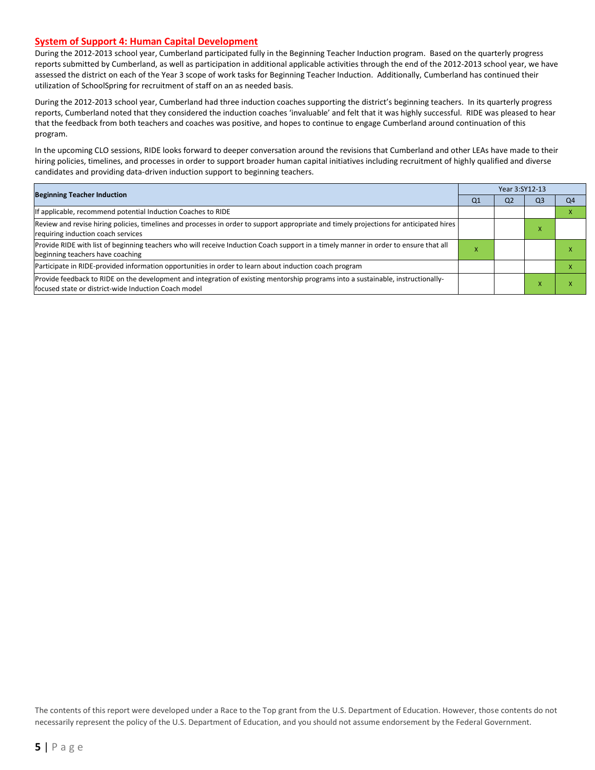#### **System of Support 4: Human Capital Development**

During the 2012-2013 school year, Cumberland participated fully in the Beginning Teacher Induction program. Based on the quarterly progress reports submitted by Cumberland, as well as participation in additional applicable activities through the end of the 2012-2013 school year, we have assessed the district on each of the Year 3 scope of work tasks for Beginning Teacher Induction. Additionally, Cumberland has continued their utilization of SchoolSpring for recruitment of staff on an as needed basis.

During the 2012-2013 school year, Cumberland had three induction coaches supporting the district's beginning teachers. In its quarterly progress reports, Cumberland noted that they considered the induction coaches 'invaluable' and felt that it was highly successful. RIDE was pleased to hear that the feedback from both teachers and coaches was positive, and hopes to continue to engage Cumberland around continuation of this program.

In the upcoming CLO sessions, RIDE looks forward to deeper conversation around the revisions that Cumberland and other LEAs have made to their hiring policies, timelines, and processes in order to support broader human capital initiatives including recruitment of highly qualified and diverse candidates and providing data-driven induction support to beginning teachers.

| <b>Beginning Teacher Induction</b>                                                                                                                                                       |                | Year 3:SY12-13 |                |                |  |
|------------------------------------------------------------------------------------------------------------------------------------------------------------------------------------------|----------------|----------------|----------------|----------------|--|
|                                                                                                                                                                                          | Q <sub>1</sub> | Q <sub>2</sub> | Q <sub>3</sub> | Q <sub>4</sub> |  |
| If applicable, recommend potential Induction Coaches to RIDE                                                                                                                             |                |                |                |                |  |
| Review and revise hiring policies, timelines and processes in order to support appropriate and timely projections for anticipated hires<br>requiring induction coach services            |                |                | ж              |                |  |
| Provide RIDE with list of beginning teachers who will receive Induction Coach support in a timely manner in order to ensure that all<br>beginning teachers have coaching                 | ж              |                |                |                |  |
| Participate in RIDE-provided information opportunities in order to learn about induction coach program                                                                                   |                |                |                |                |  |
| Provide feedback to RIDE on the development and integration of existing mentorship programs into a sustainable, instructionally-<br>focused state or district-wide Induction Coach model |                |                |                |                |  |

The contents of this report were developed under a Race to the Top grant from the U.S. Department of Education. However, those contents do not necessarily represent the policy of the U.S. Department of Education, and you should not assume endorsement by the Federal Government.